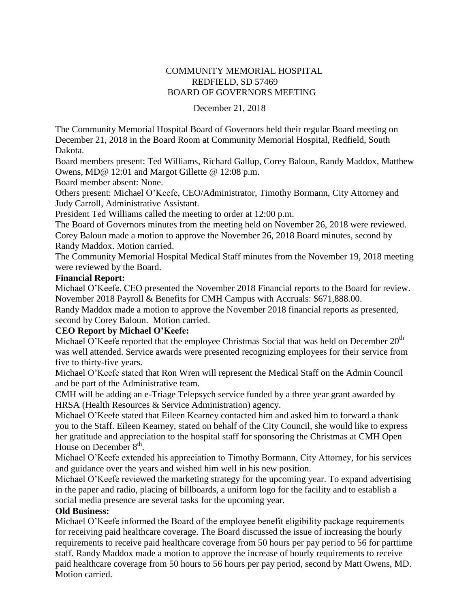# COMMUNITY MEMORIAL HOSPITAL REDFIELD, SD 57469 BOARD OF GOVERNORS MEETING

#### December 21, 2018

The Community Memorial Hospital Board of Governors held their regular Board meeting on December 21, 2018 in the Board Room at Community Memorial Hospital, Redfield, South Dakota.

Board members present: Ted Williams, Richard Gallup, Corey Baloun, Randy Maddox, Matthew Owens, MD@ 12:01 and Margot Gillette @ 12:08 p.m.

Board member absent: None.

Others present: Michael O'Keefe, CEO/Administrator, Timothy Bormann, City Attorney and Judy Carroll, Administrative Assistant.

President Ted Williams called the meeting to order at 12:00 p.m.

The Board of Governors minutes from the meeting held on November 26, 2018 were reviewed. Corey Baloun made a motion to approve the November 26, 2018 Board minutes, second by Randy Maddox. Motion carried.

The Community Memorial Hospital Medical Staff minutes from the November 19, 2018 meeting were reviewed by the Board.

#### **Financial Report:**

Michael O'Keefe, CEO presented the November 2018 Financial reports to the Board for review. November 2018 Payroll & Benefits for CMH Campus with Accruals: \$671,888.00.

Randy Maddox made a motion to approve the November 2018 financial reports as presented, second by Corey Baloun. Motion carried.

# **CEO Report by Michael O'Keefe:**

Michael O'Keefe reported that the employee Christmas Social that was held on December  $20<sup>th</sup>$ was well attended. Service awards were presented recognizing employees for their service from five to thirty-five years.

Michael O'Keefe stated that Ron Wren will represent the Medical Staff on the Admin Council and be part of the Administrative team.

CMH will be adding an e-Triage Telepsych service funded by a three year grant awarded by HRSA (Health Resources & Service Administration) agency.

Michael O'Keefe stated that Eileen Kearney contacted him and asked him to forward a thank you to the Staff. Eileen Kearney, stated on behalf of the City Council, she would like to express her gratitude and appreciation to the hospital staff for sponsoring the Christmas at CMH Open House on December  $8<sup>th</sup>$ .

Michael O'Keefe extended his appreciation to Timothy Bormann, City Attorney, for his services and guidance over the years and wished him well in his new position.

Michael O'Keefe reviewed the marketing strategy for the upcoming year. To expand advertising in the paper and radio, placing of billboards, a uniform logo for the facility and to establish a social media presence are several tasks for the upcoming year.

# **Old Business:**

Michael O'Keefe informed the Board of the employee benefit eligibility package requirements for receiving paid healthcare coverage. The Board discussed the issue of increasing the hourly requirements to receive paid healthcare coverage from 50 hours per pay period to 56 for parttime staff. Randy Maddox made a motion to approve the increase of hourly requirements to receive paid healthcare coverage from 50 hours to 56 hours per pay period, second by Matt Owens, MD. Motion carried.